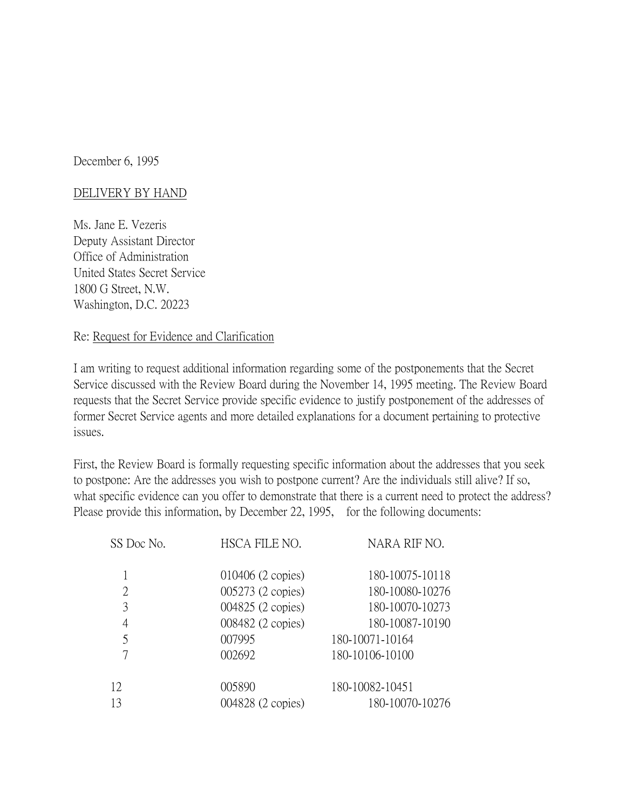December 6, 1995

## DELIVERY BY HAND

Ms. Jane E. Vezeris Deputy Assistant Director Office of Administration United States Secret Service 1800 G Street, N.W. Washington, D.C. 20223

## Re: Request for Evidence and Clarification

I am writing to request additional information regarding some of the postponements that the Secret Service discussed with the Review Board during the November 14, 1995 meeting. The Review Board requests that the Secret Service provide specific evidence to justify postponement of the addresses of former Secret Service agents and more detailed explanations for a document pertaining to protective issues.

First, the Review Board is formally requesting specific information about the addresses that you seek to postpone: Are the addresses you wish to postpone current? Are the individuals still alive? If so, what specific evidence can you offer to demonstrate that there is a current need to protect the address? Please provide this information, by December 22, 1995, for the following documents:

| SS Doc No. | HSCA FILE NO.     | NARA RIF NO.    |
|------------|-------------------|-----------------|
|            | 010406 (2 copies) | 180-10075-10118 |
| 2          | 005273 (2 copies) | 180-10080-10276 |
| 3          | 004825 (2 copies) | 180-10070-10273 |
| 4          | 008482 (2 copies) | 180-10087-10190 |
| 5          | 007995            | 180-10071-10164 |
|            | 002692            | 180-10106-10100 |
| 12         | 005890            | 180-10082-10451 |
| 13         | 004828 (2 copies) | 180-10070-10276 |